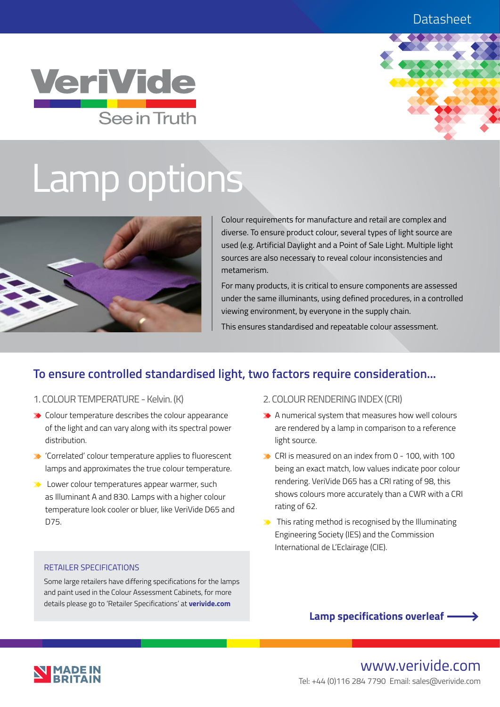### **Datasheet**





# Lamp options



Colour requirements for manufacture and retail are complex and diverse. To ensure product colour, several types of light source are used (e.g. Artificial Daylight and a Point of Sale Light. Multiple light sources are also necessary to reveal colour inconsistencies and metamerism.

For many products, it is critical to ensure components are assessed under the same illuminants, using defined procedures, in a controlled viewing environment, by everyone in the supply chain.

This ensures standardised and repeatable colour assessment.

## **To ensure controlled standardised light, two factors require consideration...**

- 1. COLOUR TEMPERATURE Kelvin. (K)
- ◆ Colour temperature describes the colour appearance of the light and can vary along with its spectral power distribution.
- 'Correlated' colour temperature applies to fluorescent lamps and approximates the true colour temperature.
- ◆ Lower colour temperatures appear warmer, such as Illuminant A and 830. Lamps with a higher colour temperature look cooler or bluer, like VeriVide D65 and D75.

#### RETAILER SPECIFICATIONS

Some large retailers have differing specifications for the lamps and paint used in the Colour Assessment Cabinets, for more details please go to 'Retailer Specifications' at **verivide.com**

- 2. COLOUR RENDERING INDEX (CRI)
- A numerical system that measures how well colours are rendered by a lamp in comparison to a reference light source.
- ◆ CRI is measured on an index from 0 100, with 100 being an exact match, low values indicate poor colour rendering. VeriVide D65 has a CRI rating of 98, this shows colours more accurately than a CWR with a CRI rating of 62.
- $\blacktriangleright$  This rating method is recognised by the Illuminating Engineering Society (IES) and the Commission International de L'Eclairage (CIE).



www.verivide.com Tel: +44 (0)116 284 7790 Email: sales@verivide.com